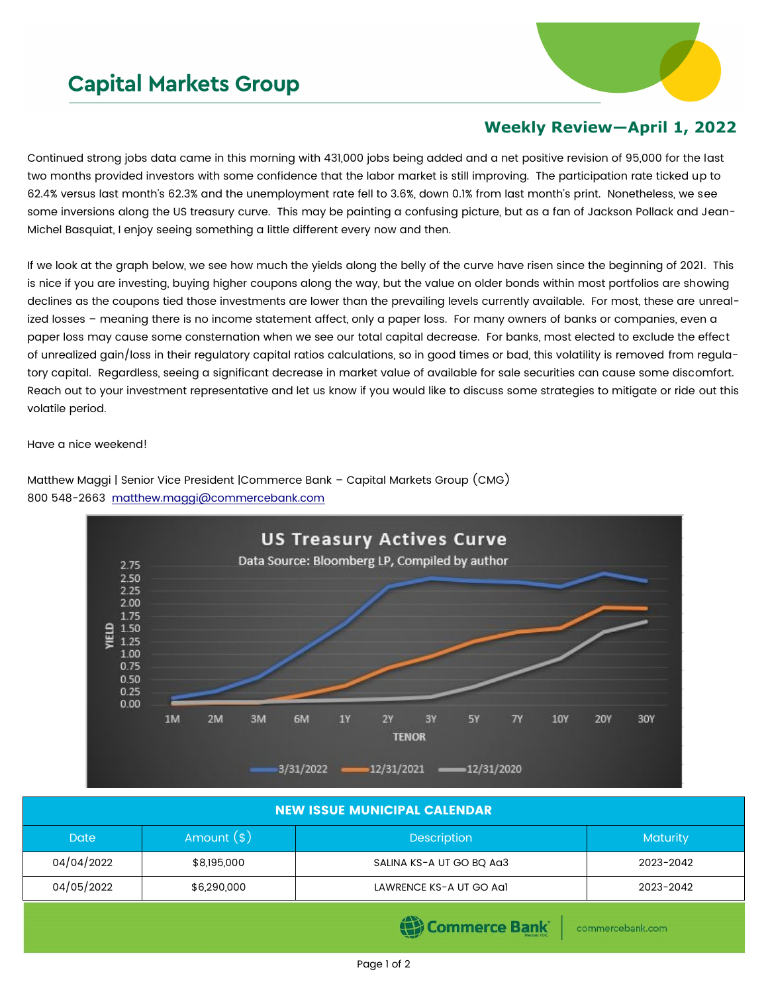## **Capital Markets Group**



## **Weekly Review—April 1, 2022**

Continued strong jobs data came in this morning with 431,000 jobs being added and a net positive revision of 95,000 for the last two months provided investors with some confidence that the labor market is still improving. The participation rate ticked up to 62.4% versus last month's 62.3% and the unemployment rate fell to 3.6%, down 0.1% from last month's print. Nonetheless, we see some inversions along the US treasury curve. This may be painting a confusing picture, but as a fan of Jackson Pollack and Jean-Michel Basquiat, I enjoy seeing something a little different every now and then.

If we look at the graph below, we see how much the yields along the belly of the curve have risen since the beginning of 2021. This is nice if you are investing, buying higher coupons along the way, but the value on older bonds within most portfolios are showing declines as the coupons tied those investments are lower than the prevailing levels currently available. For most, these are unrealized losses – meaning there is no income statement affect, only a paper loss. For many owners of banks or companies, even a paper loss may cause some consternation when we see our total capital decrease. For banks, most elected to exclude the effect of unrealized gain/loss in their regulatory capital ratios calculations, so in good times or bad, this volatility is removed from regulatory capital. Regardless, seeing a significant decrease in market value of available for sale securities can cause some discomfort. Reach out to your investment representative and let us know if you would like to discuss some strategies to mitigate or ride out this volatile period.

Have a nice weekend!

Matthew Maggi | Senior Vice President |Commerce Bank – Capital Markets Group (CMG) 800 548-2663 [matthew.maggi@commercebank.com](mailto:matthew.maggi@commercebank.com)



| <b>NEW ISSUE MUNICIPAL CALENDAR</b> |              |                          |                 |  |  |  |
|-------------------------------------|--------------|--------------------------|-----------------|--|--|--|
| <b>Date</b>                         | Amount $(s)$ | <b>Description</b>       | <b>Maturity</b> |  |  |  |
| 04/04/2022                          | \$8,195,000  | SALINA KS-A UT GO BO AG3 | 2023-2042       |  |  |  |
| 04/05/2022                          | \$6,290,000  | LAWRENCE KS-A UT GO Agl  | 2023-2042       |  |  |  |
|                                     |              |                          |                 |  |  |  |

(B) Commerce Bank

commercebank.com